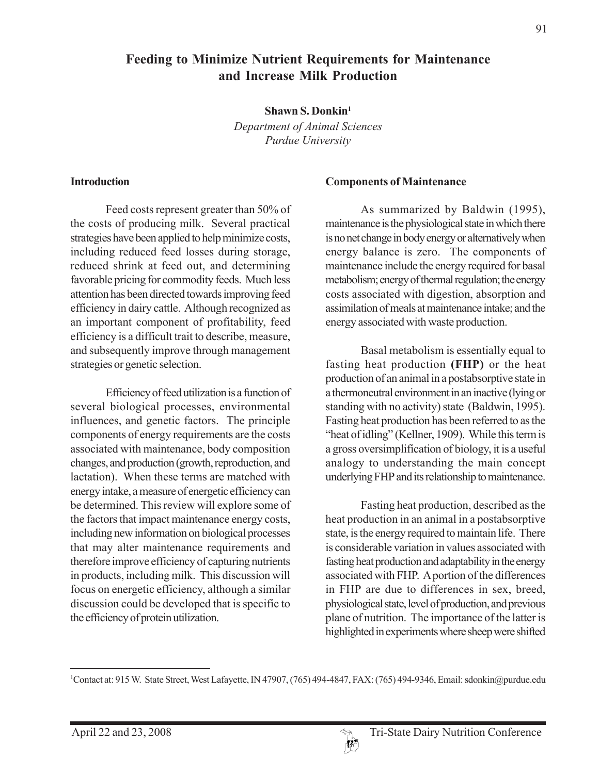# **Feeding to Minimize Nutrient Requirements for Maintenance and Increase Milk Production**

**Shawn S. Donkin1**

*Department of Animal Sciences Purdue University*

#### **Introduction**

Feed costs represent greater than 50% of the costs of producing milk. Several practical strategies have been applied to help minimize costs, including reduced feed losses during storage, reduced shrink at feed out, and determining favorable pricing for commodity feeds. Much less attention has been directed towards improving feed efficiency in dairy cattle. Although recognized as an important component of profitability, feed efficiency is a difficult trait to describe, measure, and subsequently improve through management strategies or genetic selection.

Efficiency of feed utilization is a function of several biological processes, environmental influences, and genetic factors. The principle components of energy requirements are the costs associated with maintenance, body composition changes, and production (growth, reproduction, and lactation). When these terms are matched with energy intake, a measure of energetic efficiency can be determined. This review will explore some of the factors that impact maintenance energy costs, including new information on biological processes that may alter maintenance requirements and therefore improve efficiency of capturing nutrients in products, including milk. This discussion will focus on energetic efficiency, although a similar discussion could be developed that is specific to the efficiency of protein utilization.

#### **Components of Maintenance**

As summarized by Baldwin (1995), maintenance is the physiological state in which there is no net change in body energy or alternatively when energy balance is zero. The components of maintenance include the energy required for basal metabolism; energy of thermal regulation; the energy costs associated with digestion, absorption and assimilation of meals at maintenance intake; and the energy associated with waste production.

Basal metabolism is essentially equal to fasting heat production **(FHP)** or the heat production of an animal in a postabsorptive state in a thermoneutral environment in an inactive (lying or standing with no activity) state (Baldwin, 1995). Fasting heat production has been referred to as the "heat of idling" (Kellner, 1909). While this term is a gross oversimplification of biology, it is a useful analogy to understanding the main concept underlying FHP and its relationship to maintenance.

Fasting heat production, described as the heat production in an animal in a postabsorptive state, is the energy required to maintain life. There is considerable variation in values associated with fasting heat production and adaptability in the energy associated with FHP. A portion of the differences in FHP are due to differences in sex, breed, physiological state, level of production, and previous plane of nutrition. The importance of the latter is highlighted in experiments where sheep were shifted

<sup>1</sup> Contact at: 915 W. State Street, West Lafayette, IN 47907, (765) 494-4847, FAX: (765) 494-9346, Email: sdonkin@purdue.edu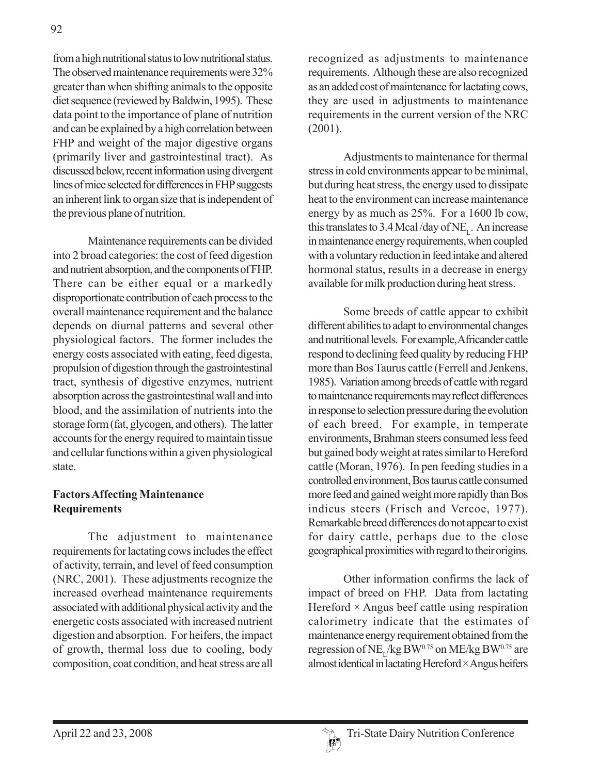from a high nutritional status to low nutritional status. The observed maintenance requirements were 32% greater than when shifting animals to the opposite diet sequence (reviewed by Baldwin, 1995). These data point to the importance of plane of nutrition and can be explained by a high correlation between FHP and weight of the major digestive organs (primarily liver and gastrointestinal tract). As discussed below, recent information using divergent lines of mice selected for differences in FHP suggests an inherent link to organ size that is independent of the previous plane of nutrition.

Maintenance requirements can be divided into 2 broad categories: the cost of feed digestion and nutrient absorption, and the components of FHP. There can be either equal or a markedly disproportionate contribution of each process to the overall maintenance requirement and the balance depends on diurnal patterns and several other physiological factors. The former includes the energy costs associated with eating, feed digesta, propulsion of digestion through the gastrointestinal tract, synthesis of digestive enzymes, nutrient absorption across the gastrointestinal wall and into blood, and the assimilation of nutrients into the storage form (fat, glycogen, and others). The latter accounts for the energy required to maintain tissue and cellular functions within a given physiological state.

## **Factors Affecting Maintenance Requirements**

The adjustment to maintenance requirements for lactating cows includes the effect of activity, terrain, and level of feed consumption (NRC, 2001). These adjustments recognize the increased overhead maintenance requirements associated with additional physical activity and the energetic costs associated with increased nutrient digestion and absorption. For heifers, the impact of growth, thermal loss due to cooling, body composition, coat condition, and heat stress are all

recognized as adjustments to maintenance requirements. Although these are also recognized as an added cost of maintenance for lactating cows, they are used in adjustments to maintenance requirements in the current version of the NRC (2001).

Adjustments to maintenance for thermal stress in cold environments appear to be minimal, but during heat stress, the energy used to dissipate heat to the environment can increase maintenance energy by as much as 25%. For a 1600 lb cow, this translates to 3.4 Mcal/day of NE<sub>L</sub>. An increase in maintenance energy requirements, when coupled with a voluntary reduction in feed intake and altered hormonal status, results in a decrease in energy available for milk production during heat stress.

Some breeds of cattle appear to exhibit different abilities to adapt to environmental changes and nutritional levels. For example, Africander cattle respond to declining feed quality by reducing FHP more than Bos Taurus cattle (Ferrell and Jenkens, 1985). Variation among breeds of cattle with regard to maintenance requirements may reflect differences in response to selection pressure during the evolution of each breed. For example, in temperate environments, Brahman steers consumed less feed but gained body weight at rates similar to Hereford cattle (Moran, 1976). In pen feeding studies in a controlled environment, Bos taurus cattle consumed more feed and gained weight more rapidly than Bos indicus steers (Frisch and Vercoe, 1977). Remarkable breed differences do not appear to exist for dairy cattle, perhaps due to the close geographical proximities with regard to their origins.

Other information confirms the lack of impact of breed on FHP. Data from lactating Hereford  $\times$  Angus beef cattle using respiration calorimetry indicate that the estimates of maintenance energy requirement obtained from the regression of NE<sub> $<sub>r</sub>$ /kg BW<sup>0.75</sup> on ME/kg BW<sup>0.75</sup> are</sub></sub> almost identical in lactating Hereford  $\times$  Angus heifers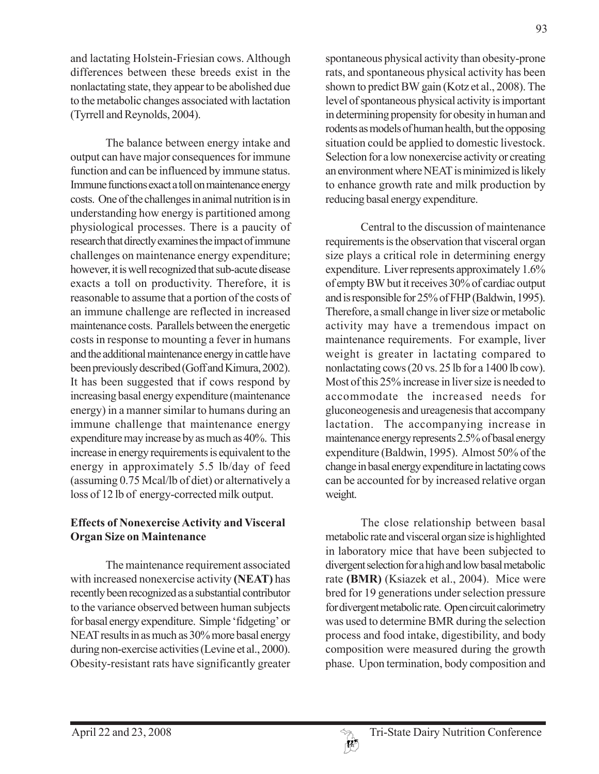and lactating Holstein-Friesian cows. Although differences between these breeds exist in the nonlactating state, they appear to be abolished due to the metabolic changes associated with lactation (Tyrrell and Reynolds, 2004).

The balance between energy intake and output can have major consequences for immune function and can be influenced by immune status. Immune functions exact a toll on maintenance energy costs. One of the challenges in animal nutrition is in understanding how energy is partitioned among physiological processes. There is a paucity of research that directly examines the impact of immune challenges on maintenance energy expenditure; however, it is well recognized that sub-acute disease exacts a toll on productivity. Therefore, it is reasonable to assume that a portion of the costs of an immune challenge are reflected in increased maintenance costs. Parallels between the energetic costs in response to mounting a fever in humans and the additional maintenance energy in cattle have been previously described (Goff and Kimura, 2002). It has been suggested that if cows respond by increasing basal energy expenditure (maintenance energy) in a manner similar to humans during an immune challenge that maintenance energy expenditure may increase by as much as 40%. This increase in energy requirements is equivalent to the energy in approximately 5.5 lb/day of feed (assuming 0.75 Mcal/lb of diet) or alternatively a loss of 12 lb of energy-corrected milk output.

# **Effects of Nonexercise Activity and Visceral Organ Size on Maintenance**

The maintenance requirement associated with increased nonexercise activity **(NEAT)** has recently been recognized as a substantial contributor to the variance observed between human subjects for basal energy expenditure. Simple 'fidgeting' or NEAT results in as much as 30% more basal energy during non-exercise activities (Levine et al., 2000). Obesity-resistant rats have significantly greater

spontaneous physical activity than obesity-prone rats, and spontaneous physical activity has been shown to predict BW gain (Kotz et al., 2008). The level of spontaneous physical activity is important in determining propensity for obesity in human and rodents as models of human health, but the opposing situation could be applied to domestic livestock. Selection for a low nonexercise activity or creating an environment where NEAT is minimized is likely to enhance growth rate and milk production by reducing basal energy expenditure.

Central to the discussion of maintenance requirements is the observation that visceral organ size plays a critical role in determining energy expenditure. Liver represents approximately 1.6% of empty BW but it receives 30% of cardiac output and is responsible for 25% of FHP (Baldwin, 1995). Therefore, a small change in liver size or metabolic activity may have a tremendous impact on maintenance requirements. For example, liver weight is greater in lactating compared to nonlactating cows (20 vs. 25 lb for a 1400 lb cow). Most of this 25% increase in liver size is needed to accommodate the increased needs for gluconeogenesis and ureagenesis that accompany lactation. The accompanying increase in maintenance energy represents 2.5% of basal energy expenditure (Baldwin, 1995). Almost 50% of the change in basal energy expenditure in lactating cows can be accounted for by increased relative organ weight.

The close relationship between basal metabolic rate and visceral organ size is highlighted in laboratory mice that have been subjected to divergent selection for a high and low basal metabolic rate **(BMR)** (Ksiazek et al., 2004). Mice were bred for 19 generations under selection pressure for divergent metabolic rate. Open circuit calorimetry was used to determine BMR during the selection process and food intake, digestibility, and body composition were measured during the growth phase. Upon termination, body composition and

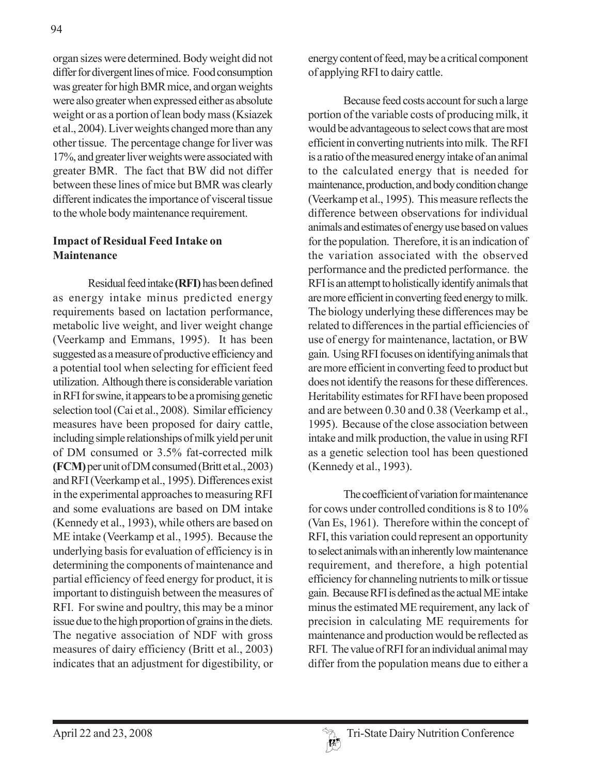organ sizes were determined. Body weight did not differ for divergent lines of mice. Food consumption was greater for high BMR mice, and organ weights were also greater when expressed either as absolute weight or as a portion of lean body mass (Ksiazek et al., 2004). Liver weights changed more than any other tissue. The percentage change for liver was 17%, and greater liver weights were associated with greater BMR. The fact that BW did not differ between these lines of mice but BMR was clearly different indicates the importance of visceral tissue to the whole body maintenance requirement.

### **Impact of Residual Feed Intake on Maintenance**

Residual feed intake **(RFI)** has been defined as energy intake minus predicted energy requirements based on lactation performance, metabolic live weight, and liver weight change (Veerkamp and Emmans, 1995). It has been suggested as a measure of productive efficiency and a potential tool when selecting for efficient feed utilization. Although there is considerable variation in RFI for swine, it appears to be a promising genetic selection tool (Cai et al., 2008). Similar efficiency measures have been proposed for dairy cattle, including simple relationships of milk yield per unit of DM consumed or 3.5% fat-corrected milk **(FCM)** per unit of DM consumed (Britt et al., 2003) and RFI (Veerkamp et al., 1995). Differences exist in the experimental approaches to measuring RFI and some evaluations are based on DM intake (Kennedy et al., 1993), while others are based on ME intake (Veerkamp et al., 1995). Because the underlying basis for evaluation of efficiency is in determining the components of maintenance and partial efficiency of feed energy for product, it is important to distinguish between the measures of RFI. For swine and poultry, this may be a minor issue due to the high proportion of grains in the diets. The negative association of NDF with gross measures of dairy efficiency (Britt et al., 2003) indicates that an adjustment for digestibility, or

energy content of feed, may be a critical component of applying RFI to dairy cattle.

Because feed costs account for such a large portion of the variable costs of producing milk, it would be advantageous to select cows that are most efficient in converting nutrients into milk. The RFI is a ratio of the measured energy intake of an animal to the calculated energy that is needed for maintenance, production, and body condition change (Veerkamp et al., 1995). This measure reflects the difference between observations for individual animals and estimates of energy use based on values for the population. Therefore, it is an indication of the variation associated with the observed performance and the predicted performance. the RFI is an attempt to holistically identify animals that are more efficient in converting feed energy to milk. The biology underlying these differences may be related to differences in the partial efficiencies of use of energy for maintenance, lactation, or BW gain. Using RFI focuses on identifying animals that are more efficient in converting feed to product but does not identify the reasons for these differences. Heritability estimates for RFI have been proposed and are between 0.30 and 0.38 (Veerkamp et al., 1995). Because of the close association between intake and milk production, the value in using RFI as a genetic selection tool has been questioned (Kennedy et al., 1993).

The coefficient of variation for maintenance for cows under controlled conditions is 8 to 10% (Van Es, 1961). Therefore within the concept of RFI, this variation could represent an opportunity to select animals with an inherently low maintenance requirement, and therefore, a high potential efficiency for channeling nutrients to milk or tissue gain. Because RFI is defined as the actual ME intake minus the estimated ME requirement, any lack of precision in calculating ME requirements for maintenance and production would be reflected as RFI. The value of RFI for an individual animal may differ from the population means due to either a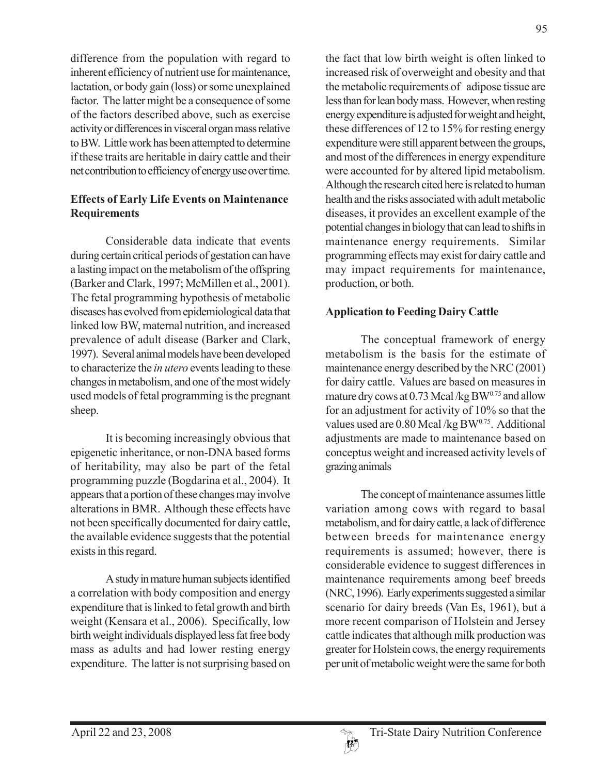difference from the population with regard to inherent efficiency of nutrient use for maintenance, lactation, or body gain (loss) or some unexplained factor. The latter might be a consequence of some of the factors described above, such as exercise activity or differences in visceral organ mass relative to BW. Little work has been attempted to determine if these traits are heritable in dairy cattle and their net contribution to efficiency of energy use over time.

### **Effects of Early Life Events on Maintenance Requirements**

Considerable data indicate that events during certain critical periods of gestation can have a lasting impact on the metabolism of the offspring (Barker and Clark, 1997; McMillen et al., 2001). The fetal programming hypothesis of metabolic diseases has evolved from epidemiological data that linked low BW, maternal nutrition, and increased prevalence of adult disease (Barker and Clark, 1997). Several animal models have been developed to characterize the *in utero* events leading to these changes in metabolism, and one of the most widely used models of fetal programming is the pregnant sheep.

It is becoming increasingly obvious that epigenetic inheritance, or non-DNA based forms of heritability, may also be part of the fetal programming puzzle (Bogdarina et al., 2004). It appears that a portion of these changes may involve alterations in BMR. Although these effects have not been specifically documented for dairy cattle, the available evidence suggests that the potential exists in this regard.

A study in mature human subjects identified a correlation with body composition and energy expenditure that is linked to fetal growth and birth weight (Kensara et al., 2006). Specifically, low birth weight individuals displayed less fat free body mass as adults and had lower resting energy expenditure. The latter is not surprising based on the fact that low birth weight is often linked to increased risk of overweight and obesity and that the metabolic requirements of adipose tissue are less than for lean body mass. However, when resting energy expenditure is adjusted for weight and height, these differences of 12 to 15% for resting energy expenditure were still apparent between the groups, and most of the differences in energy expenditure were accounted for by altered lipid metabolism. Although the research cited here is related to human health and the risks associated with adult metabolic diseases, it provides an excellent example of the potential changes in biology that can lead to shifts in maintenance energy requirements. Similar programming effects may exist for dairy cattle and may impact requirements for maintenance, production, or both.

## **Application to Feeding Dairy Cattle**

The conceptual framework of energy metabolism is the basis for the estimate of maintenance energy described by the NRC (2001) for dairy cattle. Values are based on measures in mature dry cows at  $0.73$  Mcal/kg BW $^{0.75}$  and allow for an adjustment for activity of 10% so that the values used are  $0.80$  Mcal/kg BW $^{0.75}$ . Additional adjustments are made to maintenance based on conceptus weight and increased activity levels of grazing animals

The concept of maintenance assumes little variation among cows with regard to basal metabolism, and for dairy cattle, a lack of difference between breeds for maintenance energy requirements is assumed; however, there is considerable evidence to suggest differences in maintenance requirements among beef breeds (NRC, 1996). Early experiments suggested a similar scenario for dairy breeds (Van Es, 1961), but a more recent comparison of Holstein and Jersey cattle indicates that although milk production was greater for Holstein cows, the energy requirements per unit of metabolic weight were the same for both

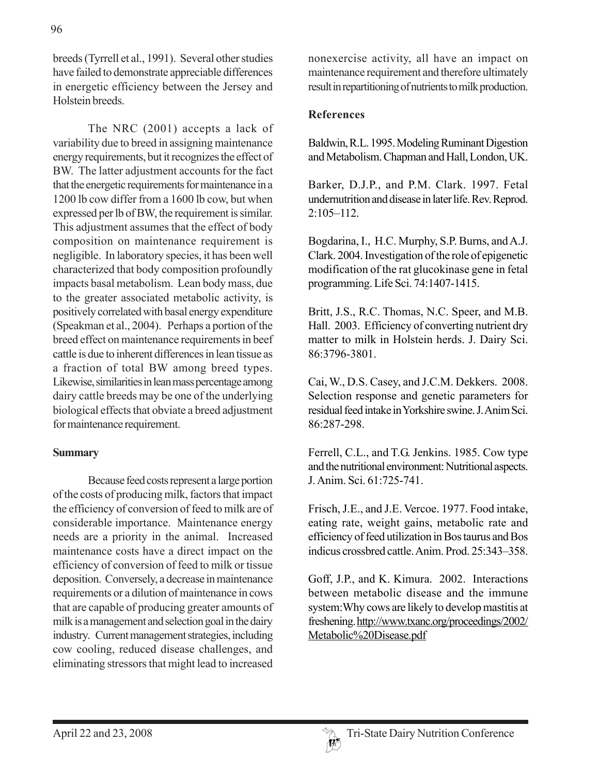breeds (Tyrrell et al., 1991). Several other studies have failed to demonstrate appreciable differences in energetic efficiency between the Jersey and Holstein breeds.

The NRC (2001) accepts a lack of variability due to breed in assigning maintenance energy requirements, but it recognizes the effect of BW. The latter adjustment accounts for the fact that the energetic requirements for maintenance in a 1200 lb cow differ from a 1600 lb cow, but when expressed per lb of BW, the requirement is similar. This adjustment assumes that the effect of body composition on maintenance requirement is negligible. In laboratory species, it has been well characterized that body composition profoundly impacts basal metabolism. Lean body mass, due to the greater associated metabolic activity, is positively correlated with basal energy expenditure (Speakman et al., 2004). Perhaps a portion of the breed effect on maintenance requirements in beef cattle is due to inherent differences in lean tissue as a fraction of total BW among breed types. Likewise, similarities in lean mass percentage among dairy cattle breeds may be one of the underlying biological effects that obviate a breed adjustment for maintenance requirement.

### **Summary**

Because feed costs represent a large portion of the costs of producing milk, factors that impact the efficiency of conversion of feed to milk are of considerable importance. Maintenance energy needs are a priority in the animal. Increased maintenance costs have a direct impact on the efficiency of conversion of feed to milk or tissue deposition. Conversely, a decrease in maintenance requirements or a dilution of maintenance in cows that are capable of producing greater amounts of milk is a management and selection goal in the dairy industry. Current management strategies, including cow cooling, reduced disease challenges, and eliminating stressors that might lead to increased

nonexercise activity, all have an impact on maintenance requirement and therefore ultimately result in repartitioning of nutrients to milk production.

### **References**

Baldwin, R.L. 1995. Modeling Ruminant Digestion and Metabolism. Chapman and Hall, London, UK.

Barker, D.J.P., and P.M. Clark. 1997. Fetal undernutrition and disease in later life. Rev. Reprod. 2:105–112.

Bogdarina, I., H.C. Murphy, S.P. Burns, and A.J. Clark. 2004. Investigation of the role of epigenetic modification of the rat glucokinase gene in fetal programming. Life Sci. 74:1407-1415.

Britt, J.S., R.C. Thomas, N.C. Speer, and M.B. Hall. 2003. Efficiency of converting nutrient dry matter to milk in Holstein herds. J. Dairy Sci. 86:3796-3801.

Cai, W., D.S. Casey, and J.C.M. Dekkers. 2008. Selection response and genetic parameters for residual feed intake in Yorkshire swine. J. Anim Sci. 86:287-298.

Ferrell, C.L., and T.G. Jenkins. 1985. Cow type and the nutritional environment: Nutritional aspects. J. Anim. Sci. 61:725-741.

Frisch, J.E., and J.E. Vercoe. 1977. Food intake, eating rate, weight gains, metabolic rate and efficiency of feed utilization in Bos taurus and Bos indicus crossbred cattle. Anim. Prod. 25:343–358.

Goff, J.P., and K. Kimura. 2002. Interactions between metabolic disease and the immune system:Why cows are likely to develop mastitis at freshening. http://www.txanc.org/proceedings/2002/ Metabolic%20Disease.pdf